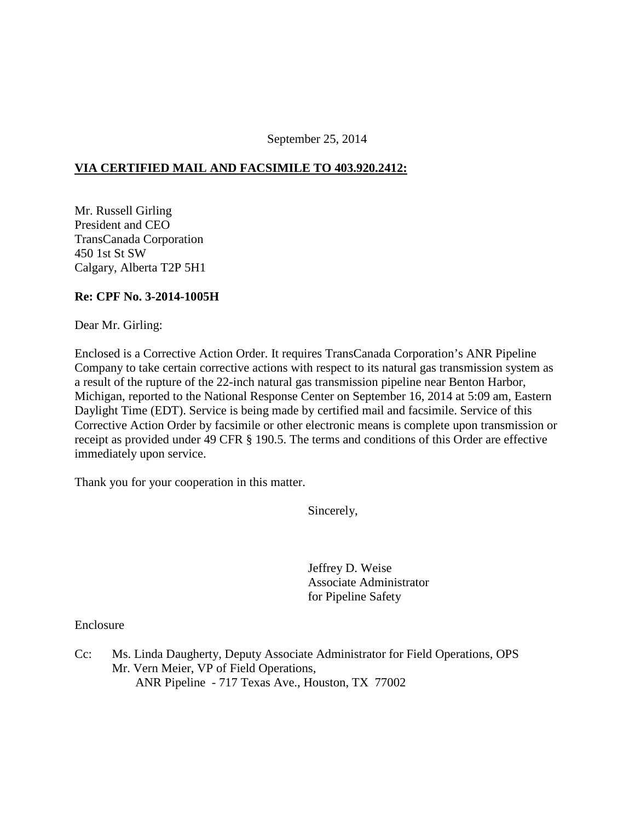September 25, 2014

## **VIA CERTIFIED MAIL AND FACSIMILE TO 403.920.2412:**

Mr. Russell Girling President and CEO TransCanada Corporation 450 1st St SW Calgary, Alberta T2P 5H1

## **Re: CPF No. 3-2014-1005H**

Dear Mr. Girling:

Enclosed is a Corrective Action Order. It requires TransCanada Corporation's ANR Pipeline Company to take certain corrective actions with respect to its natural gas transmission system as a result of the rupture of the 22-inch natural gas transmission pipeline near Benton Harbor, Michigan, reported to the National Response Center on September 16, 2014 at 5:09 am, Eastern Daylight Time (EDT). Service is being made by certified mail and facsimile. Service of this Corrective Action Order by facsimile or other electronic means is complete upon transmission or receipt as provided under 49 CFR § 190.5. The terms and conditions of this Order are effective immediately upon service.

Thank you for your cooperation in this matter.

Sincerely,

Jeffrey D. Weise Associate Administrator for Pipeline Safety

Enclosure

Cc: Ms. Linda Daugherty, Deputy Associate Administrator for Field Operations, OPS Mr. Vern Meier, VP of Field Operations, ANR Pipeline - 717 Texas Ave., Houston, TX 77002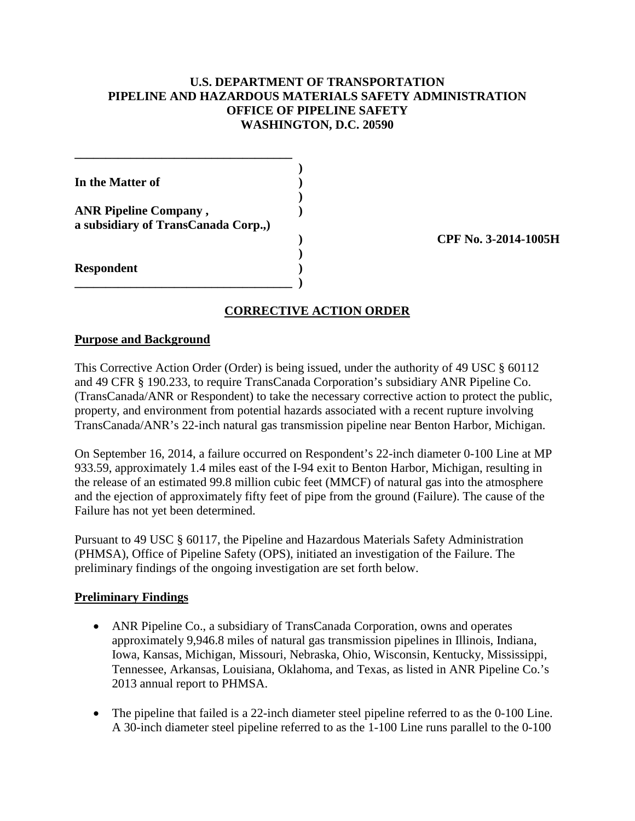## **U.S. DEPARTMENT OF TRANSPORTATION PIPELINE AND HAZARDOUS MATERIALS SAFETY ADMINISTRATION OFFICE OF PIPELINE SAFETY WASHINGTON, D.C. 20590**

| In the Matter of                                                    |  |
|---------------------------------------------------------------------|--|
| <b>ANR Pipeline Company,</b><br>a subsidiary of TransCanada Corp.,) |  |
| <b>Respondent</b>                                                   |  |

**\_\_\_\_\_\_\_\_\_\_\_\_\_\_\_\_\_\_\_\_\_\_\_\_\_\_\_\_\_\_\_\_\_\_\_ )** 

**\_\_\_\_\_\_\_\_\_\_\_\_\_\_\_\_\_\_\_\_\_\_\_\_\_\_\_\_\_\_\_\_\_\_\_** 

**) CPF No. 3-2014-1005H** 

# **CORRECTIVE ACTION ORDER**

#### **Purpose and Background**

This Corrective Action Order (Order) is being issued, under the authority of 49 USC § 60112 and 49 CFR § 190.233, to require TransCanada Corporation's subsidiary ANR Pipeline Co. (TransCanada/ANR or Respondent) to take the necessary corrective action to protect the public, property, and environment from potential hazards associated with a recent rupture involving TransCanada/ANR's 22-inch natural gas transmission pipeline near Benton Harbor, Michigan.

On September 16, 2014, a failure occurred on Respondent's 22-inch diameter 0-100 Line at MP 933.59, approximately 1.4 miles east of the I-94 exit to Benton Harbor, Michigan, resulting in the release of an estimated 99.8 million cubic feet (MMCF) of natural gas into the atmosphere and the ejection of approximately fifty feet of pipe from the ground (Failure). The cause of the Failure has not yet been determined.

Pursuant to 49 USC § 60117, the Pipeline and Hazardous Materials Safety Administration (PHMSA), Office of Pipeline Safety (OPS), initiated an investigation of the Failure. The preliminary findings of the ongoing investigation are set forth below.

#### **Preliminary Findings**

- ANR Pipeline Co., a subsidiary of TransCanada Corporation, owns and operates approximately 9,946.8 miles of natural gas transmission pipelines in Illinois, Indiana, Iowa, Kansas, Michigan, Missouri, Nebraska, Ohio, Wisconsin, Kentucky, Mississippi, Tennessee, Arkansas, Louisiana, Oklahoma, and Texas, as listed in ANR Pipeline Co.'s 2013 annual report to PHMSA.
- The pipeline that failed is a 22-inch diameter steel pipeline referred to as the 0-100 Line. A 30-inch diameter steel pipeline referred to as the 1-100 Line runs parallel to the 0-100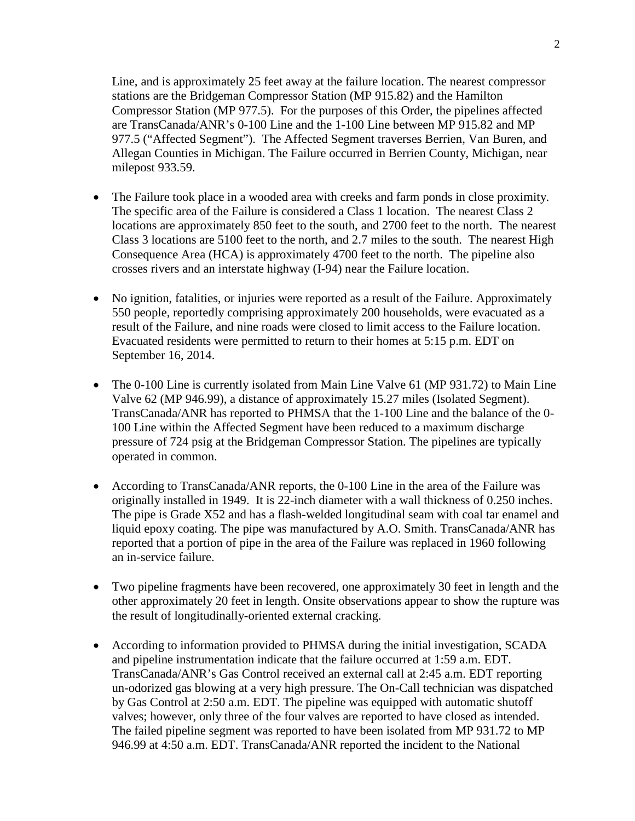Line, and is approximately 25 feet away at the failure location. The nearest compressor stations are the Bridgeman Compressor Station (MP 915.82) and the Hamilton Compressor Station (MP 977.5). For the purposes of this Order, the pipelines affected are TransCanada/ANR's 0-100 Line and the 1-100 Line between MP 915.82 and MP 977.5 ("Affected Segment"). The Affected Segment traverses Berrien, Van Buren, and Allegan Counties in Michigan. The Failure occurred in Berrien County, Michigan, near milepost 933.59.

- The Failure took place in a wooded area with creeks and farm ponds in close proximity. The specific area of the Failure is considered a Class 1 location. The nearest Class 2 locations are approximately 850 feet to the south, and 2700 feet to the north. The nearest Class 3 locations are 5100 feet to the north, and 2.7 miles to the south. The nearest High Consequence Area (HCA) is approximately 4700 feet to the north. The pipeline also crosses rivers and an interstate highway (I-94) near the Failure location.
- No ignition, fatalities, or injuries were reported as a result of the Failure. Approximately 550 people, reportedly comprising approximately 200 households, were evacuated as a result of the Failure, and nine roads were closed to limit access to the Failure location. Evacuated residents were permitted to return to their homes at 5:15 p.m. EDT on September 16, 2014.
- The 0-100 Line is currently isolated from Main Line Valve 61 (MP 931.72) to Main Line Valve 62 (MP 946.99), a distance of approximately 15.27 miles (Isolated Segment). TransCanada/ANR has reported to PHMSA that the 1-100 Line and the balance of the 0- 100 Line within the Affected Segment have been reduced to a maximum discharge pressure of 724 psig at the Bridgeman Compressor Station. The pipelines are typically operated in common.
- According to TransCanada/ANR reports, the 0-100 Line in the area of the Failure was originally installed in 1949. It is 22-inch diameter with a wall thickness of 0.250 inches. The pipe is Grade X52 and has a flash-welded longitudinal seam with coal tar enamel and liquid epoxy coating. The pipe was manufactured by A.O. Smith. TransCanada/ANR has reported that a portion of pipe in the area of the Failure was replaced in 1960 following an in-service failure.
- Two pipeline fragments have been recovered, one approximately 30 feet in length and the other approximately 20 feet in length. Onsite observations appear to show the rupture was the result of longitudinally-oriented external cracking.
- According to information provided to PHMSA during the initial investigation, SCADA and pipeline instrumentation indicate that the failure occurred at 1:59 a.m. EDT. TransCanada/ANR's Gas Control received an external call at 2:45 a.m. EDT reporting un-odorized gas blowing at a very high pressure. The On-Call technician was dispatched by Gas Control at 2:50 a.m. EDT. The pipeline was equipped with automatic shutoff valves; however, only three of the four valves are reported to have closed as intended. The failed pipeline segment was reported to have been isolated from MP 931.72 to MP 946.99 at 4:50 a.m. EDT. TransCanada/ANR reported the incident to the National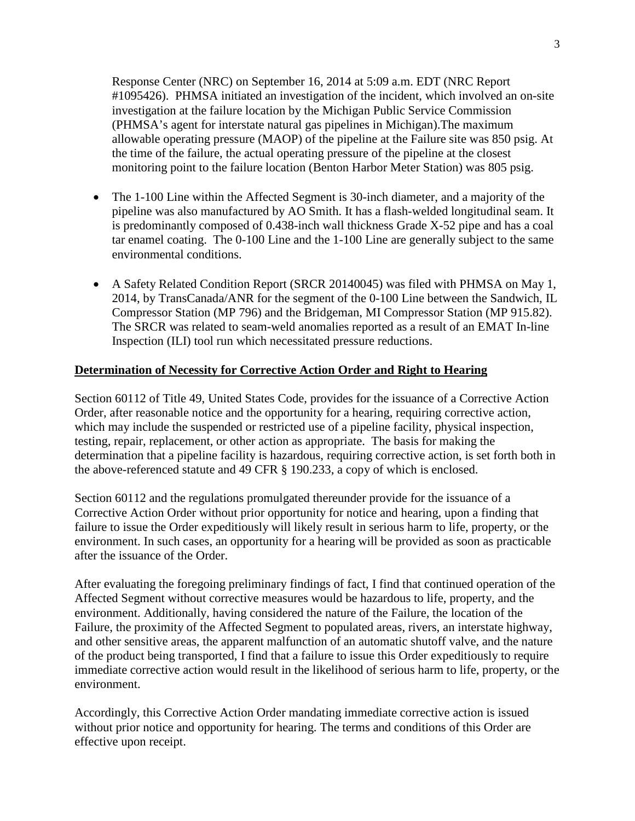Response Center (NRC) on September 16, 2014 at 5:09 a.m. EDT (NRC Report #1095426). PHMSA initiated an investigation of the incident, which involved an on-site investigation at the failure location by the Michigan Public Service Commission (PHMSA's agent for interstate natural gas pipelines in Michigan).The maximum allowable operating pressure (MAOP) of the pipeline at the Failure site was 850 psig. At the time of the failure, the actual operating pressure of the pipeline at the closest monitoring point to the failure location (Benton Harbor Meter Station) was 805 psig.

- The 1-100 Line within the Affected Segment is 30-inch diameter, and a majority of the pipeline was also manufactured by AO Smith. It has a flash-welded longitudinal seam. It is predominantly composed of 0.438-inch wall thickness Grade X-52 pipe and has a coal tar enamel coating. The 0-100 Line and the 1-100 Line are generally subject to the same environmental conditions.
- A Safety Related Condition Report (SRCR 20140045) was filed with PHMSA on May 1, 2014, by TransCanada/ANR for the segment of the 0-100 Line between the Sandwich, IL Compressor Station (MP 796) and the Bridgeman, MI Compressor Station (MP 915.82). The SRCR was related to seam-weld anomalies reported as a result of an EMAT In-line Inspection (ILI) tool run which necessitated pressure reductions.

#### **Determination of Necessity for Corrective Action Order and Right to Hearing**

Section 60112 of Title 49, United States Code, provides for the issuance of a Corrective Action Order, after reasonable notice and the opportunity for a hearing, requiring corrective action, which may include the suspended or restricted use of a pipeline facility, physical inspection, testing, repair, replacement, or other action as appropriate. The basis for making the determination that a pipeline facility is hazardous, requiring corrective action, is set forth both in the above-referenced statute and 49 CFR § 190.233, a copy of which is enclosed.

Section 60112 and the regulations promulgated thereunder provide for the issuance of a Corrective Action Order without prior opportunity for notice and hearing, upon a finding that failure to issue the Order expeditiously will likely result in serious harm to life, property, or the environment. In such cases, an opportunity for a hearing will be provided as soon as practicable after the issuance of the Order.

After evaluating the foregoing preliminary findings of fact, I find that continued operation of the Affected Segment without corrective measures would be hazardous to life, property, and the environment. Additionally, having considered the nature of the Failure, the location of the Failure, the proximity of the Affected Segment to populated areas, rivers, an interstate highway, and other sensitive areas, the apparent malfunction of an automatic shutoff valve, and the nature of the product being transported, I find that a failure to issue this Order expeditiously to require immediate corrective action would result in the likelihood of serious harm to life, property, or the environment.

Accordingly, this Corrective Action Order mandating immediate corrective action is issued without prior notice and opportunity for hearing. The terms and conditions of this Order are effective upon receipt.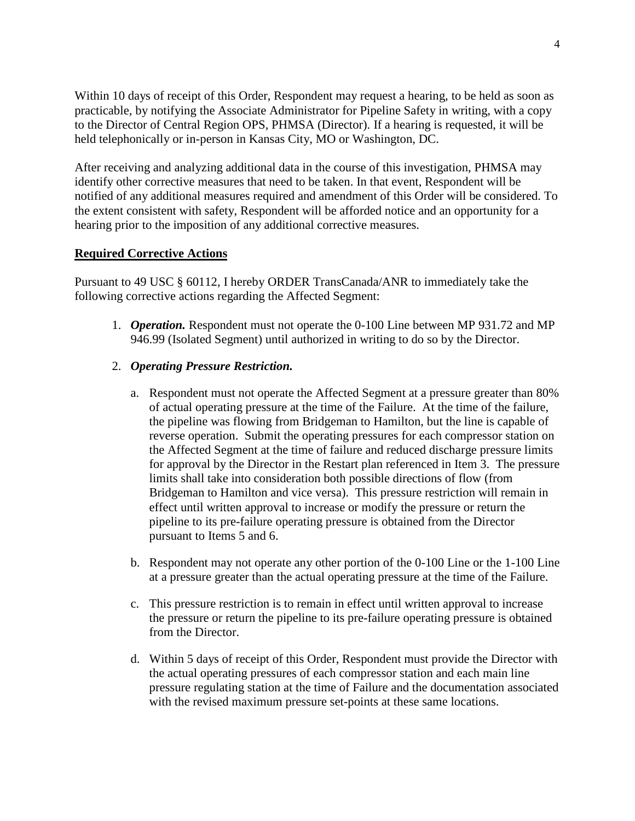Within 10 days of receipt of this Order, Respondent may request a hearing, to be held as soon as practicable, by notifying the Associate Administrator for Pipeline Safety in writing, with a copy to the Director of Central Region OPS, PHMSA (Director). If a hearing is requested, it will be held telephonically or in-person in Kansas City, MO or Washington, DC.

After receiving and analyzing additional data in the course of this investigation, PHMSA may identify other corrective measures that need to be taken. In that event, Respondent will be notified of any additional measures required and amendment of this Order will be considered. To the extent consistent with safety, Respondent will be afforded notice and an opportunity for a hearing prior to the imposition of any additional corrective measures.

#### **Required Corrective Actions**

Pursuant to 49 USC § 60112, I hereby ORDER TransCanada/ANR to immediately take the following corrective actions regarding the Affected Segment:

1. *Operation.* Respondent must not operate the 0-100 Line between MP 931.72 and MP 946.99 (Isolated Segment) until authorized in writing to do so by the Director.

#### 2. *Operating Pressure Restriction.*

- a. Respondent must not operate the Affected Segment at a pressure greater than 80% of actual operating pressure at the time of the Failure. At the time of the failure, the pipeline was flowing from Bridgeman to Hamilton, but the line is capable of reverse operation. Submit the operating pressures for each compressor station on the Affected Segment at the time of failure and reduced discharge pressure limits for approval by the Director in the Restart plan referenced in Item 3. The pressure limits shall take into consideration both possible directions of flow (from Bridgeman to Hamilton and vice versa). This pressure restriction will remain in effect until written approval to increase or modify the pressure or return the pipeline to its pre-failure operating pressure is obtained from the Director pursuant to Items 5 and 6.
- b. Respondent may not operate any other portion of the 0-100 Line or the 1-100 Line at a pressure greater than the actual operating pressure at the time of the Failure.
- c. This pressure restriction is to remain in effect until written approval to increase the pressure or return the pipeline to its pre-failure operating pressure is obtained from the Director.
- d. Within 5 days of receipt of this Order, Respondent must provide the Director with the actual operating pressures of each compressor station and each main line pressure regulating station at the time of Failure and the documentation associated with the revised maximum pressure set-points at these same locations.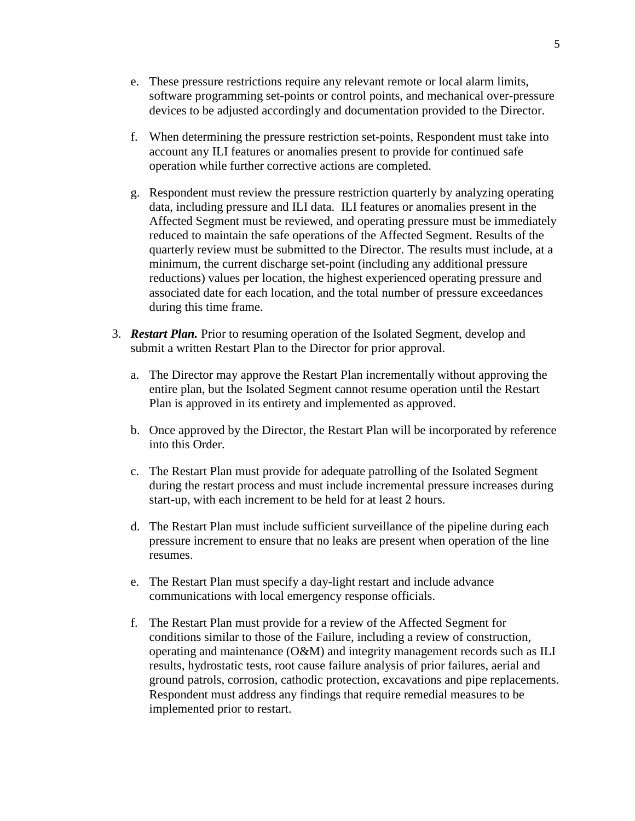- e. These pressure restrictions require any relevant remote or local alarm limits, software programming set-points or control points, and mechanical over-pressure devices to be adjusted accordingly and documentation provided to the Director.
- f. When determining the pressure restriction set-points, Respondent must take into account any ILI features or anomalies present to provide for continued safe operation while further corrective actions are completed.
- g. Respondent must review the pressure restriction quarterly by analyzing operating data, including pressure and ILI data. ILI features or anomalies present in the Affected Segment must be reviewed, and operating pressure must be immediately reduced to maintain the safe operations of the Affected Segment. Results of the quarterly review must be submitted to the Director. The results must include, at a minimum, the current discharge set-point (including any additional pressure reductions) values per location, the highest experienced operating pressure and associated date for each location, and the total number of pressure exceedances during this time frame.
- 3. *Restart Plan.* Prior to resuming operation of the Isolated Segment, develop and submit a written Restart Plan to the Director for prior approval.
	- a. The Director may approve the Restart Plan incrementally without approving the entire plan, but the Isolated Segment cannot resume operation until the Restart Plan is approved in its entirety and implemented as approved.
	- b. Once approved by the Director, the Restart Plan will be incorporated by reference into this Order.
	- c. The Restart Plan must provide for adequate patrolling of the Isolated Segment during the restart process and must include incremental pressure increases during start-up, with each increment to be held for at least 2 hours.
	- d. The Restart Plan must include sufficient surveillance of the pipeline during each pressure increment to ensure that no leaks are present when operation of the line resumes.
	- e. The Restart Plan must specify a day-light restart and include advance communications with local emergency response officials.
	- f. The Restart Plan must provide for a review of the Affected Segment for conditions similar to those of the Failure, including a review of construction, operating and maintenance (O&M) and integrity management records such as ILI results, hydrostatic tests, root cause failure analysis of prior failures, aerial and ground patrols, corrosion, cathodic protection, excavations and pipe replacements. Respondent must address any findings that require remedial measures to be implemented prior to restart.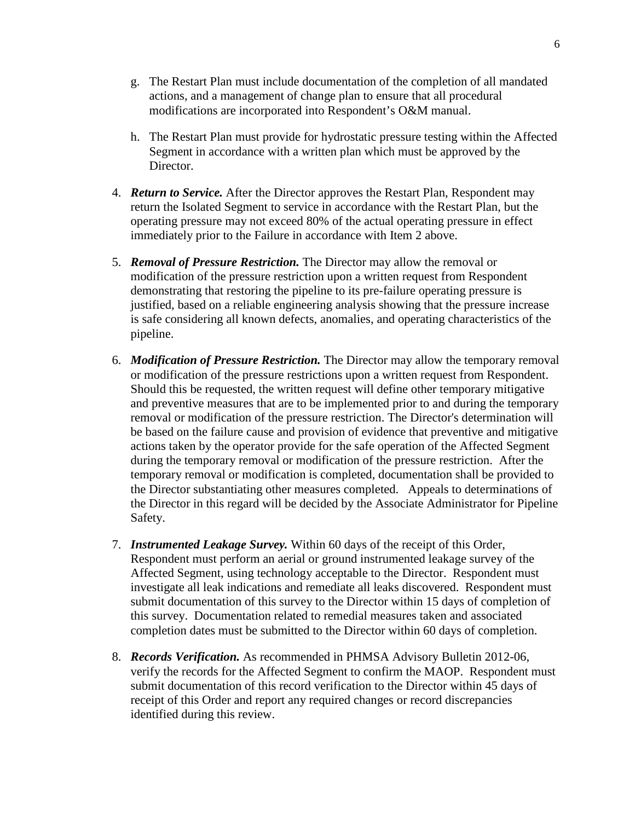- g. The Restart Plan must include documentation of the completion of all mandated actions, and a management of change plan to ensure that all procedural modifications are incorporated into Respondent's O&M manual.
- h. The Restart Plan must provide for hydrostatic pressure testing within the Affected Segment in accordance with a written plan which must be approved by the Director.
- 4. *Return to Service.* After the Director approves the Restart Plan, Respondent may return the Isolated Segment to service in accordance with the Restart Plan, but the operating pressure may not exceed 80% of the actual operating pressure in effect immediately prior to the Failure in accordance with Item 2 above.
- 5. *Removal of Pressure Restriction.* The Director may allow the removal or modification of the pressure restriction upon a written request from Respondent demonstrating that restoring the pipeline to its pre-failure operating pressure is justified, based on a reliable engineering analysis showing that the pressure increase is safe considering all known defects, anomalies, and operating characteristics of the pipeline.
- 6. *Modification of Pressure Restriction.* The Director may allow the temporary removal or modification of the pressure restrictions upon a written request from Respondent. Should this be requested, the written request will define other temporary mitigative and preventive measures that are to be implemented prior to and during the temporary removal or modification of the pressure restriction. The Director's determination will be based on the failure cause and provision of evidence that preventive and mitigative actions taken by the operator provide for the safe operation of the Affected Segment during the temporary removal or modification of the pressure restriction. After the temporary removal or modification is completed, documentation shall be provided to the Director substantiating other measures completed. Appeals to determinations of the Director in this regard will be decided by the Associate Administrator for Pipeline Safety.
- 7. *Instrumented Leakage Survey.* Within 60 days of the receipt of this Order, Respondent must perform an aerial or ground instrumented leakage survey of the Affected Segment, using technology acceptable to the Director. Respondent must investigate all leak indications and remediate all leaks discovered. Respondent must submit documentation of this survey to the Director within 15 days of completion of this survey. Documentation related to remedial measures taken and associated completion dates must be submitted to the Director within 60 days of completion.
- 8. *Records Verification.* As recommended in PHMSA Advisory Bulletin 2012-06, verify the records for the Affected Segment to confirm the MAOP. Respondent must submit documentation of this record verification to the Director within 45 days of receipt of this Order and report any required changes or record discrepancies identified during this review.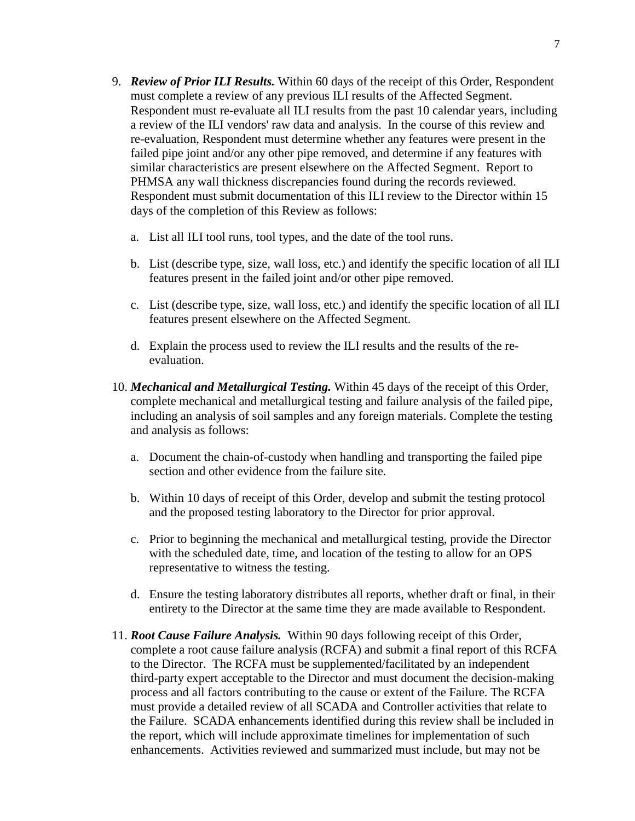- 9. *Review of Prior ILI Results.* Within 60 days of the receipt of this Order, Respondent must complete a review of any previous ILI results of the Affected Segment. Respondent must re-evaluate all ILI results from the past 10 calendar years, including a review of the ILI vendors' raw data and analysis. In the course of this review and re-evaluation, Respondent must determine whether any features were present in the failed pipe joint and/or any other pipe removed, and determine if any features with similar characteristics are present elsewhere on the Affected Segment. Report to PHMSA any wall thickness discrepancies found during the records reviewed. Respondent must submit documentation of this ILI review to the Director within 15 days of the completion of this Review as follows:
	- a. List all ILI tool runs, tool types, and the date of the tool runs.
	- b. List (describe type, size, wall loss, etc.) and identify the specific location of all ILI features present in the failed joint and/or other pipe removed.
	- c. List (describe type, size, wall loss, etc.) and identify the specific location of all ILI features present elsewhere on the Affected Segment.
	- d. Explain the process used to review the ILI results and the results of the reevaluation.
- 10. *Mechanical and Metallurgical Testing.* Within 45 days of the receipt of this Order, complete mechanical and metallurgical testing and failure analysis of the failed pipe, including an analysis of soil samples and any foreign materials. Complete the testing and analysis as follows:
	- a. Document the chain-of-custody when handling and transporting the failed pipe section and other evidence from the failure site.
	- b. Within 10 days of receipt of this Order, develop and submit the testing protocol and the proposed testing laboratory to the Director for prior approval.
	- c. Prior to beginning the mechanical and metallurgical testing, provide the Director with the scheduled date, time, and location of the testing to allow for an OPS representative to witness the testing.
	- d. Ensure the testing laboratory distributes all reports, whether draft or final, in their entirety to the Director at the same time they are made available to Respondent.
- 11. *Root Cause Failure Analysis.* Within 90 days following receipt of this Order, complete a root cause failure analysis (RCFA) and submit a final report of this RCFA to the Director. The RCFA must be supplemented/facilitated by an independent third-party expert acceptable to the Director and must document the decision-making process and all factors contributing to the cause or extent of the Failure. The RCFA must provide a detailed review of all SCADA and Controller activities that relate to the Failure. SCADA enhancements identified during this review shall be included in the report, which will include approximate timelines for implementation of such enhancements. Activities reviewed and summarized must include, but may not be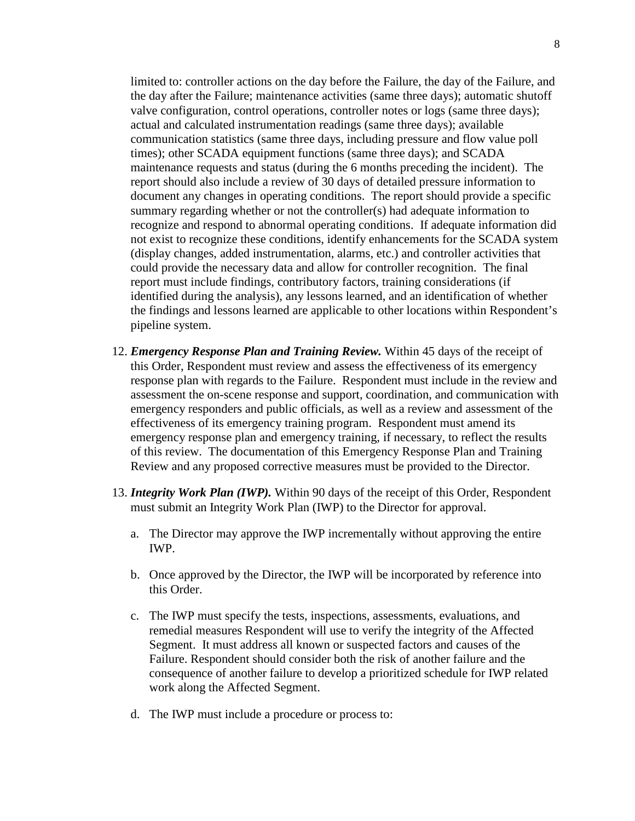limited to: controller actions on the day before the Failure, the day of the Failure, and the day after the Failure; maintenance activities (same three days); automatic shutoff valve configuration, control operations, controller notes or logs (same three days); actual and calculated instrumentation readings (same three days); available communication statistics (same three days, including pressure and flow value poll times); other SCADA equipment functions (same three days); and SCADA maintenance requests and status (during the 6 months preceding the incident). The report should also include a review of 30 days of detailed pressure information to document any changes in operating conditions. The report should provide a specific summary regarding whether or not the controller(s) had adequate information to recognize and respond to abnormal operating conditions. If adequate information did not exist to recognize these conditions, identify enhancements for the SCADA system (display changes, added instrumentation, alarms, etc.) and controller activities that could provide the necessary data and allow for controller recognition. The final report must include findings, contributory factors, training considerations (if identified during the analysis), any lessons learned, and an identification of whether the findings and lessons learned are applicable to other locations within Respondent's pipeline system.

- 12. *Emergency Response Plan and Training Review.* Within 45 days of the receipt of this Order, Respondent must review and assess the effectiveness of its emergency response plan with regards to the Failure. Respondent must include in the review and assessment the on-scene response and support, coordination, and communication with emergency responders and public officials, as well as a review and assessment of the effectiveness of its emergency training program. Respondent must amend its emergency response plan and emergency training, if necessary, to reflect the results of this review. The documentation of this Emergency Response Plan and Training Review and any proposed corrective measures must be provided to the Director.
- 13. *Integrity Work Plan (IWP).* Within 90 days of the receipt of this Order, Respondent must submit an Integrity Work Plan (IWP) to the Director for approval.
	- a. The Director may approve the IWP incrementally without approving the entire IWP.
	- b. Once approved by the Director, the IWP will be incorporated by reference into this Order.
	- c. The IWP must specify the tests, inspections, assessments, evaluations, and remedial measures Respondent will use to verify the integrity of the Affected Segment. It must address all known or suspected factors and causes of the Failure. Respondent should consider both the risk of another failure and the consequence of another failure to develop a prioritized schedule for IWP related work along the Affected Segment.
	- d. The IWP must include a procedure or process to: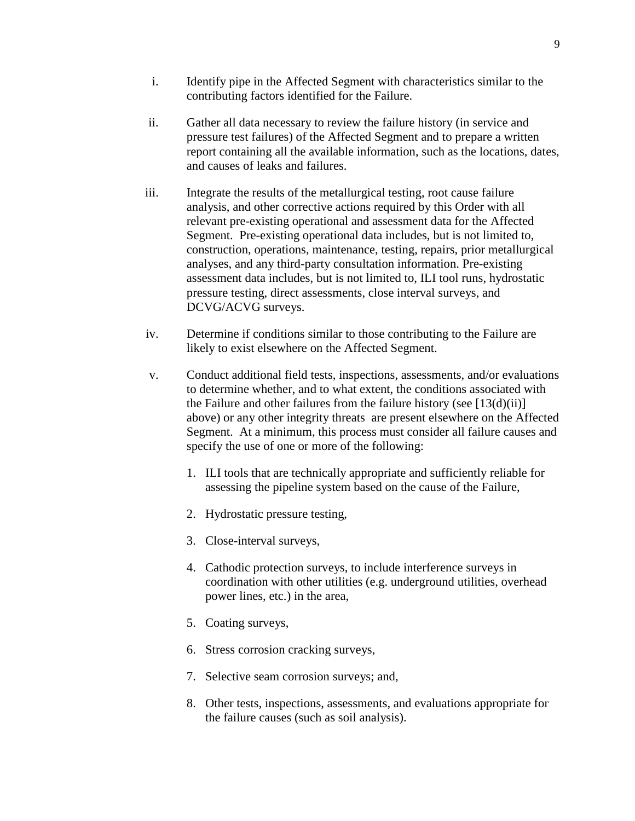- i. Identify pipe in the Affected Segment with characteristics similar to the contributing factors identified for the Failure.
- ii. Gather all data necessary to review the failure history (in service and pressure test failures) of the Affected Segment and to prepare a written report containing all the available information, such as the locations, dates, and causes of leaks and failures.
- iii. Integrate the results of the metallurgical testing, root cause failure analysis, and other corrective actions required by this Order with all relevant pre-existing operational and assessment data for the Affected Segment. Pre-existing operational data includes, but is not limited to, construction, operations, maintenance, testing, repairs, prior metallurgical analyses, and any third-party consultation information. Pre-existing assessment data includes, but is not limited to, ILI tool runs, hydrostatic pressure testing, direct assessments, close interval surveys, and DCVG/ACVG surveys.
- iv. Determine if conditions similar to those contributing to the Failure are likely to exist elsewhere on the Affected Segment.
- v. Conduct additional field tests, inspections, assessments, and/or evaluations to determine whether, and to what extent, the conditions associated with the Failure and other failures from the failure history (see  $[13(d)(ii)]$ ) above) or any other integrity threats are present elsewhere on the Affected Segment. At a minimum, this process must consider all failure causes and specify the use of one or more of the following:
	- 1. ILI tools that are technically appropriate and sufficiently reliable for assessing the pipeline system based on the cause of the Failure,
	- 2. Hydrostatic pressure testing,
	- 3. Close-interval surveys,
	- 4. Cathodic protection surveys, to include interference surveys in coordination with other utilities (e.g. underground utilities, overhead power lines, etc.) in the area,
	- 5. Coating surveys,
	- 6. Stress corrosion cracking surveys,
	- 7. Selective seam corrosion surveys; and,
	- 8. Other tests, inspections, assessments, and evaluations appropriate for the failure causes (such as soil analysis).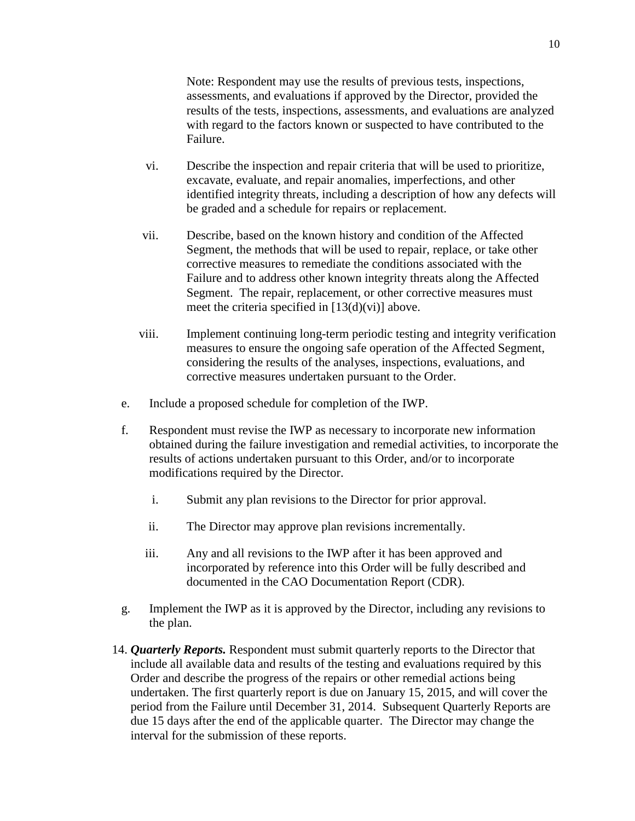Note: Respondent may use the results of previous tests, inspections, assessments, and evaluations if approved by the Director, provided the results of the tests, inspections, assessments, and evaluations are analyzed with regard to the factors known or suspected to have contributed to the Failure.

- vi. Describe the inspection and repair criteria that will be used to prioritize, excavate, evaluate, and repair anomalies, imperfections, and other identified integrity threats, including a description of how any defects will be graded and a schedule for repairs or replacement.
- vii. Describe, based on the known history and condition of the Affected Segment, the methods that will be used to repair, replace, or take other corrective measures to remediate the conditions associated with the Failure and to address other known integrity threats along the Affected Segment. The repair, replacement, or other corrective measures must meet the criteria specified in  $[13(d)(vi)]$  above.
- viii. Implement continuing long-term periodic testing and integrity verification measures to ensure the ongoing safe operation of the Affected Segment, considering the results of the analyses, inspections, evaluations, and corrective measures undertaken pursuant to the Order.
- e. Include a proposed schedule for completion of the IWP.
- f. Respondent must revise the IWP as necessary to incorporate new information obtained during the failure investigation and remedial activities, to incorporate the results of actions undertaken pursuant to this Order, and/or to incorporate modifications required by the Director.
	- i. Submit any plan revisions to the Director for prior approval.
	- ii. The Director may approve plan revisions incrementally.
	- iii. Any and all revisions to the IWP after it has been approved and incorporated by reference into this Order will be fully described and documented in the CAO Documentation Report (CDR).
- g. Implement the IWP as it is approved by the Director, including any revisions to the plan.
- 14. *Quarterly Reports.* Respondent must submit quarterly reports to the Director that include all available data and results of the testing and evaluations required by this Order and describe the progress of the repairs or other remedial actions being undertaken. The first quarterly report is due on January 15, 2015, and will cover the period from the Failure until December 31, 2014. Subsequent Quarterly Reports are due 15 days after the end of the applicable quarter. The Director may change the interval for the submission of these reports.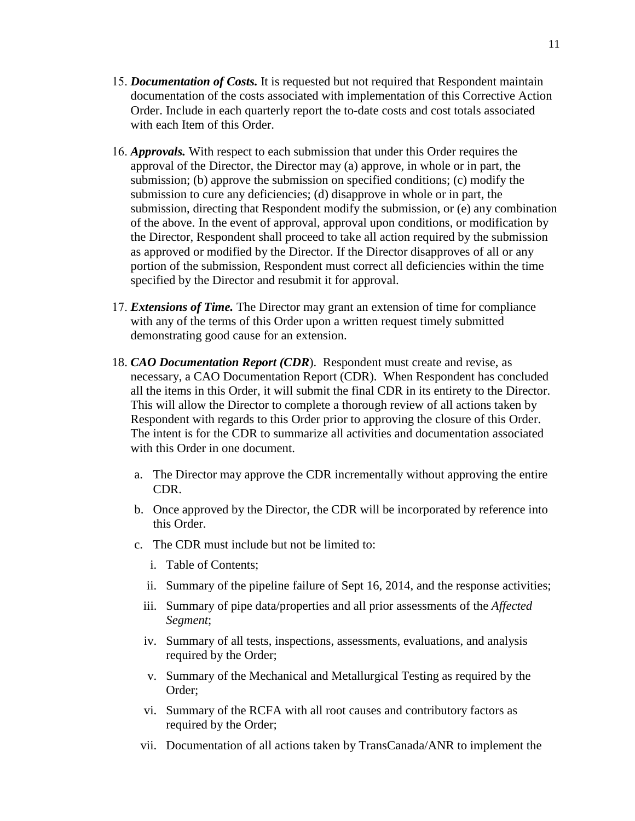- 15. *Documentation of Costs.* It is requested but not required that Respondent maintain documentation of the costs associated with implementation of this Corrective Action Order. Include in each quarterly report the to-date costs and cost totals associated with each Item of this Order.
- 16. *Approvals.* With respect to each submission that under this Order requires the approval of the Director, the Director may (a) approve, in whole or in part, the submission; (b) approve the submission on specified conditions; (c) modify the submission to cure any deficiencies; (d) disapprove in whole or in part, the submission, directing that Respondent modify the submission, or (e) any combination of the above. In the event of approval, approval upon conditions, or modification by the Director, Respondent shall proceed to take all action required by the submission as approved or modified by the Director. If the Director disapproves of all or any portion of the submission, Respondent must correct all deficiencies within the time specified by the Director and resubmit it for approval.
- 17. *Extensions of Time.* The Director may grant an extension of time for compliance with any of the terms of this Order upon a written request timely submitted demonstrating good cause for an extension.
- 18. *CAO Documentation Report (CDR*). Respondent must create and revise, as necessary, a CAO Documentation Report (CDR). When Respondent has concluded all the items in this Order, it will submit the final CDR in its entirety to the Director. This will allow the Director to complete a thorough review of all actions taken by Respondent with regards to this Order prior to approving the closure of this Order. The intent is for the CDR to summarize all activities and documentation associated with this Order in one document.
	- a. The Director may approve the CDR incrementally without approving the entire CDR.
	- b. Once approved by the Director, the CDR will be incorporated by reference into this Order.
	- c. The CDR must include but not be limited to:
		- i. Table of Contents;
		- ii. Summary of the pipeline failure of Sept 16, 2014, and the response activities;
		- iii. Summary of pipe data/properties and all prior assessments of the *Affected Segment*;
		- iv. Summary of all tests, inspections, assessments, evaluations, and analysis required by the Order;
		- v. Summary of the Mechanical and Metallurgical Testing as required by the Order;
		- vi. Summary of the RCFA with all root causes and contributory factors as required by the Order;
		- vii. Documentation of all actions taken by TransCanada/ANR to implement the